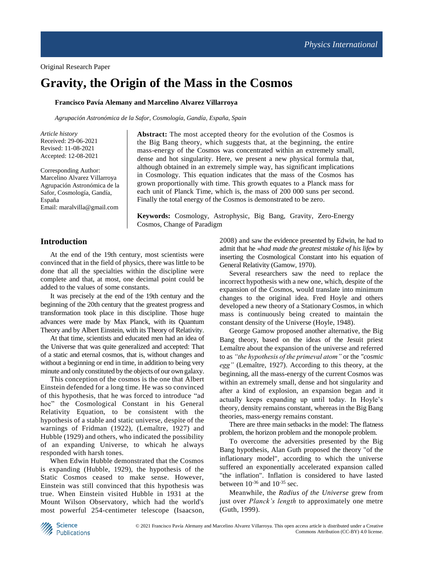# **Gravity, the Origin of the Mass in the Cosmos**

#### **Francisco Pavía Alemany and Marcelino Alvarez Villarroya**

*Agrupación Astronómica de la Safor, Cosmología, Gandía, España, Spain*

*Article history* Received: 29-06-2021 Revised: 11-08-2021 Accepted: 12-08-2021

Corresponding Author: Marcelino Alvarez Villarroya Agrupación Astronómica de la Safor, Cosmología, Gandía, España Email: maralvilla@gmail.com

**Abstract:** The most accepted theory for the evolution of the Cosmos is the Big Bang theory, which suggests that, at the beginning, the entire mass-energy of the Cosmos was concentrated within an extremely small, dense and hot singularity. Here, we present a new physical formula that, although obtained in an extremely simple way, has significant implications in Cosmology. This equation indicates that the mass of the Cosmos has grown proportionally with time. This growth equates to a Planck mass for each unit of Planck Time, which is, the mass of 200 000 suns per second. Finally the total energy of the Cosmos is demonstrated to be zero.

**Keywords:** Cosmology, Astrophysic, Big Bang, Gravity, Zero-Energy Cosmos, Change of Paradigm

#### **Introduction**

At the end of the 19th century, most scientists were convinced that in the field of physics, there was little to be done that all the specialties within the discipline were complete and that, at most, one decimal point could be added to the values of some constants.

It was precisely at the end of the 19th century and the beginning of the 20th century that the greatest progress and transformation took place in this discipline. Those huge advances were made by Max Planck, with its Quantum Theory and by Albert Einstein, with its Theory of Relativity.

At that time, scientists and educated men had an idea of the Universe that was quite generalized and accepted: That of a static and eternal cosmos, that is, without changes and without a beginning or end in time, in addition to being very minute and only constituted by the objects of our own galaxy.

This conception of the cosmos is the one that Albert Einstein defended for a long time. He was so convinced of this hypothesis, that he was forced to introduce "ad hoc" the Cosmological Constant in his General Relativity Equation, to be consistent with the hypothesis of a stable and static universe, despite of the warnings of Fridman (1922), (Lemaître, 1927) and Hubble (1929) and others, who indicated the possibility of an expanding Universe, to whicah he always responded with harsh tones.

When Edwin Hubble demonstrated that the Cosmos is expanding (Hubble, 1929), the hypothesis of the Static Cosmos ceased to make sense. However, Einstein was still convinced that this hypothesis was true. When Einstein visited Hubble in 1931 at the Mount Wilson Observatory, which had the world's most powerful 254-centimeter telescope (Isaacson, 2008) and saw the evidence presented by Edwin, he had to admit that he «*had made the greatest mistake of his life***»** by inserting the Cosmological Constant into his equation of General Relativity (Gamow, 1970).

Several researchers saw the need to replace the incorrect hypothesis with a new one, which, despite of the expansion of the Cosmos, would translate into minimum changes to the original idea. Fred Hoyle and others developed a new theory of a Stationary Cosmos, in which mass is continuously being created to maintain the constant density of the Universe (Hoyle, 1948).

George Gamow proposed another alternative, the Big Bang theory, based on the ideas of the Jesuit priest Lemaître about the expansion of the universe and referred to as *"the hypothesis of the primeval atom"* or the *"cosmic egg"* (Lemaître, 1927). According to this theory, at the beginning, all the mass-energy of the current Cosmos was within an extremely small, dense and hot singularity and after a kind of explosion, an expansion began and it actually keeps expanding up until today. In Hoyle's theory, density remains constant, whereas in the Big Bang theories, mass-energy remains constant.

There are three main setbacks in the model: The flatness problem, the horizon problem and the monopole problem.

To overcome the adversities presented by the Big Bang hypothesis, Alan Guth proposed the theory "of the inflationary model", according to which the universe suffered an exponentially accelerated expansion called "the inflation". Inflation is considered to have lasted between  $10^{-36}$  and  $10^{-35}$  sec.

Meanwhile, the *Radius of the Universe* grew from just over *Planck's length* to approximately one metre (Guth, 1999).

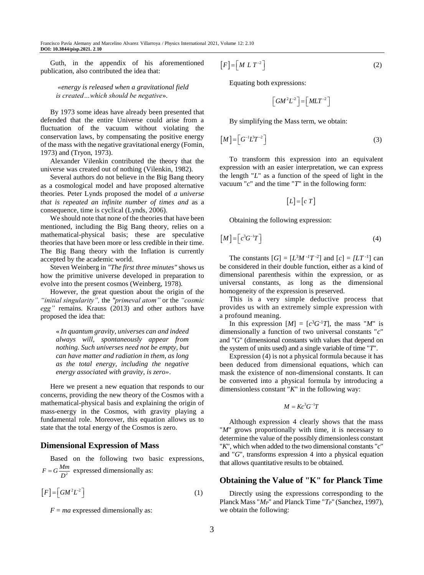Guth, in the appendix of his aforementioned publication, also contributed the idea that:

*«energy is released when a gravitational field is created…which should be negative*».

By 1973 some ideas have already been presented that defended that the entire Universe could arise from a fluctuation of the vacuum without violating the conservation laws, by compensating the positive energy of the mass with the negative gravitational energy (Fomin, 1973) and (Tryon, 1973).

Alexander Vilenkin contributed the theory that the universe was created out of nothing (Vilenkin, 1982).

Several authors do not believe in the Big Bang theory as a cosmological model and have proposed alternative theories. Peter Lynds proposed the model of *a universe that is repeated an infinite number of times and* as a consequence, time is cyclical (Lynds, 2006).

We should note that none of the theories that have been mentioned, including the Big Bang theory, relies on a mathematical-physical basis; these are speculative theories that have been more or less credible in their time. The Big Bang theory with the Inflation is currently accepted by the academic world.

Steven Weinberg in *"The first three minutes"* shows us how the primitive universe developed in preparation to evolve into the present cosmos (Weinberg, 1978).

However, the great question about the origin of the *"initial singularity",* the *"primeval atom"* or the *"cosmic egg"* remains*.* Krauss (2013) and other authors have proposed the idea that:

« *In quantum gravity, universes can and indeed always will, spontaneously appear from nothing. Such universes need not be empty, but can have matter and radiation in them, as long as the total energy, including the negative energy associated with gravity, is zero»*.

Here we present a new equation that responds to our concerns, providing the new theory of the Cosmos with a mathematical-physical basis and explaining the origin of mass-energy in the Cosmos, with gravity playing a fundamental role. Moreover, this equation allows us to state that the total energy of the Cosmos is zero.

#### **Dimensional Expression of Mass**

Based on the following two basic expressions,  $F = G \frac{Mm}{D^2}$  expressed dimensionally as:

 $[F] = [GM^2L^2]$ (1)

 $F = ma$  expressed dimensionally as:

$$
[F] = [MLT^{-2}]
$$
 (2)

Equating both expressions:

$$
\left[ GM^2L^2\right] = \left[ MLT^{-2}\right]
$$

By simplifying the Mass term, we obtain:

$$
\left[M\right] = \left[G^{-1}\mathcal{L}^2T^{-2}\right] \tag{3}
$$

To transform this expression into an equivalent expression with an easier interpretation, we can express the length "*L*" as a function of the speed of light in the vacuum "*c*" and the time "*T*" in the following form:

$$
[L] = [c \ T]
$$

Obtaining the following expression:

$$
[M] = \left[c^3 G^{-1} T\right] \tag{4}
$$

The constants  $[G] = [L^{3}M^{-1}T^{-2}]$  and  $[c] = [LT^{-1}]$  can be considered in their double function, either as a kind of dimensional parenthesis within the expression, or as universal constants, as long as the dimensional homogeneity of the expression is preserved.

This is a very simple deductive process that provides us with an extremely simple expression with a profound meaning.

In this expression  $[M] = [c^3G^{-1}T]$ , the mass "*M*" is dimensionally a function of two universal constants "*c*" and "G" (dimensional constants with values that depend on the system of units used) and a single variable of time "*T*".

Expression (4) is not a physical formula because it has been deduced from dimensional equations, which can mask the existence of non-dimensional constants. It can be converted into a physical formula by introducing a dimensionless constant "*K*" in the following way:

$$
M = Kc^3G^{-1}T
$$

Although expression 4 clearly shows that the mass "*M*" grows proportionally with time, it is necessary to determine the value of the possibly dimensionless constant "*K*", which when added to the two dimensional constants "*c*" and "*G*", transforms expression 4 into a physical equation that allows quantitative results to be obtained.

# **Obtaining the Value of "K" for Planck Time**

Directly using the expressions corresponding to the Planck Mass "*MP*" and Planck Time "*TP*" (Sanchez, 1997), we obtain the following: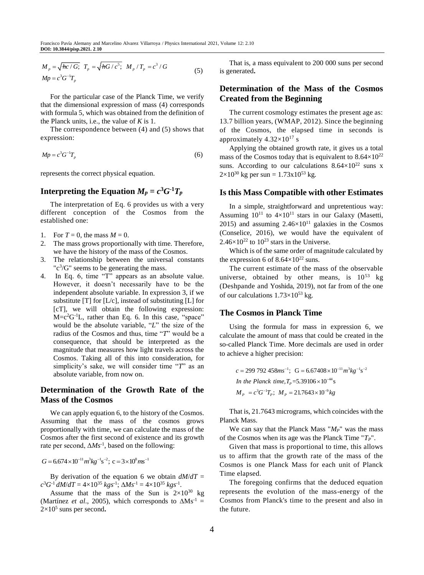$$
M_{p} = \sqrt{\hbar c / G}; \ T_{p} = \sqrt{\hbar G / c^{5}}; \ M_{p} / T_{p} = c^{3} / G
$$
  
\n
$$
Mp = c^{3} G^{-1} T_{p}
$$
\n(5)

For the particular case of the Planck Time, we verify that the dimensional expression of mass (4) corresponds with formula 5, which was obtained from the definition of the Planck units, i.e., the value of *K* is 1.

The correspondence between (4) and (5) shows that expression:

$$
Mp = c^3 G^{-1} T_p \tag{6}
$$

represents the correct physical equation.

# **Interpreting the Equation**  $M_p = c^3 G^{-1} T_p$

The interpretation of Eq. 6 provides us with a very different conception of the Cosmos from the established one:

1. For  $T = 0$ , the mass  $M = 0$ .

- 2. The mass grows proportionally with time. Therefore, we have the history of the mass of the Cosmos.
- 3. The relationship between the universal constants " $c^3/G$ " seems to be generating the mass.
- 4. In Eq. 6, time "T" appears as an absolute value. However, it doesn't necessarily have to be the independent absolute variable. In expression 3, if we substitute  $[T]$  for  $[L/c]$ , instead of substituting  $[L]$  for [cT], we will obtain the following expression:  $M=c^2G^{-1}L$ , rather than Eq. 6. In this case, "space" would be the absolute variable, "*L*" the size of the radius of the Cosmos and thus, time "*T*" would be a consequence, that should be interpreted as the magnitude that measures how light travels across the Cosmos. Taking all of this into consideration, for simplicity's sake, we will consider time "*T*" as an absolute variable, from now on.

# **Determination of the Growth Rate of the Mass of the Cosmos**

We can apply equation 6, to the history of the Cosmos. Assuming that the mass of the cosmos grows proportionally with time, we can calculate the mass of the Cosmos after the first second of existence and its growth rate per second,  $\Delta M s^{-1}$ , based on the following:

$$
G = 6.674 \times 10^{-11} m^3 kg^{-1} s^{-2}; c = 3 \times 10^8 m s^{-1}
$$

By derivation of the equation 6 we obtain  $dM/dT =$  $c^3G^{-1}$  *dM*/*dT* = 4×10<sup>35</sup> *kgs*<sup>-1</sup>;  $\Delta Ms^{-1} = 4 \times 10^{35}$  *kgs*<sup>-1</sup>.

Assume that the mass of the Sun is  $2\times10^{30}$  kg (Martínez *et al.*, 2005), which corresponds to  $\Delta M s^{-1}$  =  $2 \times 10^5$  suns per second.

That is, a mass equivalent to 200 000 suns per second is generated**.**

# **Determination of the Mass of the Cosmos Created from the Beginning**

The current cosmology estimates the present age as: 13.7 billion years, (WMAP, 2012). Since the beginning of the Cosmos, the elapsed time in seconds is approximately  $4.32\times10^{17}$  s

Applying the obtained growth rate, it gives us a total mass of the Cosmos today that is equivalent to  $8.64\times10^{22}$ suns. According to our calculations  $8.64 \times 10^{22}$  suns x  $2\times10^{30}$  kg per sun = 1.73x10<sup>53</sup> kg.

## **Is this Mass Compatible with other Estimates**

In a simple, straightforward and unpretentious way: Assuming  $10^{11}$  to  $4\times10^{11}$  stars in our Galaxy (Masetti, 2015) and assuming  $2.46 \times 10^{11}$  galaxies in the Cosmos (Conselice, 2016), we would have the equivalent of  $2.46\times10^{22}$  to  $10^{23}$  stars in the Universe.

Which is of the same order of magnitude calculated by the expression 6 of  $8.64 \times 10^{22}$  suns.

The current estimate of the mass of the observable universe, obtained by other means, is  $10^{53}$  kg (Deshpande and Yoshida, 2019), not far from of the one of our calculations  $1.73\times10^{53}$  kg.

# **The Cosmos in Planck Time**

Using the formula for mass in expression 6, we calculate the amount of mass that could be created in the so-called Planck Time. More decimals are used in order to achieve a higher precision:

$$
c = 299\,792\,458ms^{-1}; \quad G = 6.67408 \times 10^{-11} m^3 kg^{-1} s^{-2}
$$
  
In the Planck time,  $T_p = 5.39\,106 \times 10^{-44} s$   

$$
M_p = c^3 G^{-1} T_p; \quad M_p = 21.7643 \times 10^{-9} kg
$$

That is, 21.7643 micrograms, which coincides with the Planck Mass.

We can say that the Planck Mass "*MP*" was the mass of the Cosmos when its age was the Planck Time "*TP*".

Given that mass is proportional to time, this allows us to affirm that the growth rate of the mass of the Cosmos is one Planck Mass for each unit of Planck Time elapsed.

The foregoing confirms that the deduced equation represents the evolution of the mass-energy of the Cosmos from Planck's time to the present and also in the future.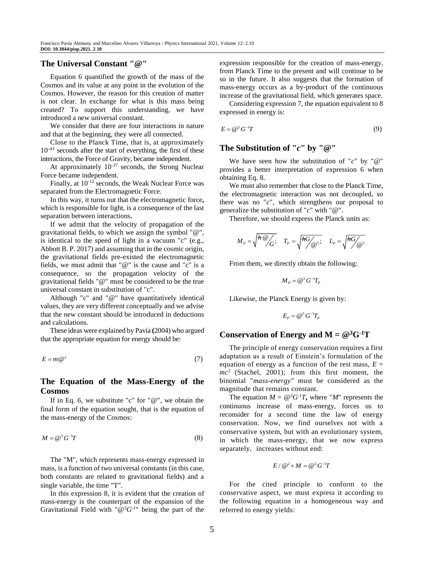# **The Universal Constant "@"**

Equation 6 quantified the growth of the mass of the Cosmos and its value at any point in the evolution of the Cosmos. However, the reason for this creation of matter is not clear. In exchange for what is this mass being created? To support this understanding, we have introduced a new universal constant.

We consider that there are four interactions in nature and that at the beginning, they were all connected.

Close to the Planck Time, that is, at approximately  $10^{-43}$  seconds after the start of everything, the first of these interactions, the Force of Gravity, became independent.

At approximately  $10^{-37}$  seconds, the Strong Nuclear Force became independent.

Finally, at 10-12 seconds, the Weak Nuclear Force was separated from the Electromagnetic Force.

In this way, it turns out that the electromagnetic force**,** which is responsible for light, is a consequence of the last separation between interactions**.**

If we admit that the velocity of propagation of the gravitational fields, to which we assign the symbol "@", is identical to the speed of light in a vacuum "c" (e.g., Abbott B. P. 2017) and assuming that in the cosmic origin, the gravitational fields pre-existed the electromagnetic fields, we must admit that "@" is the cause and "c" is a consequence, so the propagation velocity of the gravitational fields "@" must be considered to be the true universal constant in substitution of "c".

Although "c" and "@" have quantitatively identical values, they are very different conceptually and we advise that the new constant should be introduced in deductions and calculations.

These ideas were explained by Pavía **(**2004) who argued that the appropriate equation for energy should be:

$$
E = m\,\mathcal{Q}^2\tag{7}
$$

# **The Equation of the Mass-Energy of the Cosmos**

If in Eq. 6, we substitute "c" for " $@$ ", we obtain the final form of the equation sought, that is the equation of the mass-energy of the Cosmos:

$$
M = \mathcal{Q}^3 G^{-1} T \tag{8}
$$

The "M", which represents mass-energy expressed in mass, is a function of two universal constants (in this case, both constants are related to gravitational fields) and a single variable, the time "T".

In this expression 8, it is evident that the creation of mass-energy is the counterpart of the expansion of the Gravitational Field with " $@^{3}G^{-1}$ " being the part of the expression responsible for the creation of mass-energy, from Planck Time to the present and will continue to be so in the future. It also suggests that the formation of mass-energy occurs as a by-product of the continuous increase of the gravitational field, which generates space.

Considering expression 7, the equation equivalent to 8 expressed in energy is:

$$
E = \mathcal{Q}^5 G^{-1} T \tag{9}
$$

## **The Substitution of "***c***" by "@"**

We have seen how the substitution of "*c*" by "@" provides a better interpretation of expression 6 when obtaining Eq. 8.

We must also remember that close to the Planck Time, the electromagnetic interaction was not decoupled, so there was no "*c*", which strengthens our proposal to generalize the substitution of "*c*" with "@".

Therefore, we should express the Planck units as:

$$
M_{P} = \sqrt{\frac{\hbar \omega}{G}}; \quad T_{P} = \sqrt{\frac{\hbar G}{\omega^{5}};} \quad L_{P} = \sqrt{\frac{\hbar G}{\omega^{3}}}
$$

From them, we directly obtain the following:

$$
M_P = \mathcal{Q}^3 G^{-1} T_P
$$

Likewise, the Planck Energy is given by:

$$
E_p = \mathcal{Q}^5 G^{-1} T_p
$$

## **Conservation** of **Energy** and  $M = \mathbb{Q}^3 G^{-1} T$

The principle of energy conservation requires a first adaptation as a result of Einstein's formulation of the equation of energy as a function of the rest mass,  $E =$ *mc*<sup>2</sup> (Stachel, 2001); from this first moment, the binomial "*mass-energy"* must be considered as the magnitude that remains constant.

The equation  $M = \mathcal{Q}^3 G^{-1}T$ , where "*M*" represents the continuous increase of mass-energy, forces us to reconsider for a second time the law of energy conservation. Now, we find ourselves not with a conservative system, but with an evolutionary system, in which the mass-energy, that we now express separately, increases without end:

$$
E\,/\,{\textstyle\bigoplus}^2+M={\textstyle\bigoplus}^3\,G^{\text{-}1}T
$$

For the cited principle to conform to the conservative aspect, we must express it according to the following equation in a homogeneous way and referred to energy yields: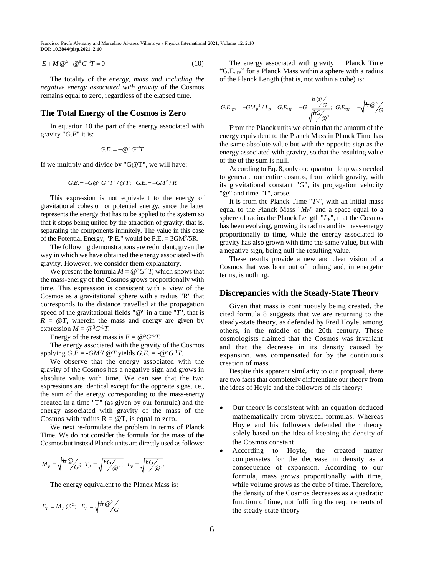$$
E + M \mathcal{Q}^2 - \mathcal{Q}^5 G^{-1} T = 0 \tag{10}
$$

The totality of the *energy, mass and including the negative energy associated with gravity* of the Cosmos remains equal to zero, regardless of the elapsed time.

## **The Total Energy of the Cosmos is Zero**

In equation 10 the part of the energy associated with gravity "*G*.*E*" it is:

$$
G.E. = -\,\mathcal{Q}^5\,G^{-1}T
$$

If we multiply and divide by "G@T", we will have:

$$
G.E. = -G \, @^6 \, G^{-2} T^2 \, / \, @T; \quad G.E. = -GM^2 \, / \, R
$$

This expression is not equivalent to the energy of gravitational cohesion or potential energy, since the latter represents the energy that has to be applied to the system so that it stops being united by the attraction of gravity, that is, separating the components infinitely. The value in this case of the Potential Energy, "P.E." would be  $P.E. = 3GM^2/5R$ .

The following demonstrations are redundant, given the way in which we have obtained the energy associated with gravity. However, we consider them explanatory.

We present the formula  $M = \mathbb{Q}^3 G^{-1}T$ , which shows that the mass-energy of the Cosmos grows proportionally with time. This expression is consistent with a view of the Cosmos as a gravitational sphere with a radius "R" that corresponds to the distance travelled at the propagation speed of the gravitational fields "@" in a time "*T*", that is  $R = \omega T$ , wherein the mass and energy are given by expression  $M = \mathcal{Q}^3 G^{-1} T$ .

Energy of the rest mass is  $E = \mathcal{Q}^5 G^{-1}T$ .

The energy associated with the gravity of the Cosmos applying  $G.E = -GM^2$ /  $@T$  yields  $G.E. = -@^5G^{-1}T$ .

We observe that the energy associated with the gravity of the Cosmos has a negative sign and grows in absolute value with time. We can see that the two expressions are identical except for the opposite signs, i.e., the sum of the energy corresponding to the mass-energy created in a time "T" (as given by our formula) and the energy associated with gravity of the mass of the Cosmos with radius  $R = \omega T$ , is equal to zero.

We next re-formulate the problem in terms of Planck Time. We do not consider the formula for the mass of the Cosmos but instead Planck units are directly used as follows:

$$
M_{P} = \sqrt{\frac{\hbar Q}{G}}; \ \ T_{P} = \sqrt{\frac{\hbar G}{Q} \cdot ; \ \ L_{P}} = \sqrt{\frac{\hbar G}{Q} \cdot }.
$$

The energy equivalent to the Planck Mass is:

$$
E_p = M_p \omega^2; \quad E_p = \sqrt{\frac{\hbar \omega^5}{G}}
$$

The energy associated with gravity in Planck Time "G.E.<sub>TP</sub>" for a Planck Mass within a sphere with a radius of the Planck Length (that is, not within a cube) is:

$$
G.E_{\tau P} = -GM_P^2 / L_P; \quad G.E_{\tau P} = -G \frac{h \omega}{\sqrt{hG \omega}}; \quad G.E_{\tau P} = -\sqrt{h \omega^5 / G}
$$

From the Planck units we obtain that the amount of the energy equivalent to the Planck Mass in Planck Time has the same absolute value but with the opposite sign as the energy associated with gravity, so that the resulting value of the of the sum is null.

According to Eq. 8, only one quantum leap was needed to generate our entire cosmos, from which gravity, with its gravitational constant "*G*", its propagation velocity "@" and time "T", arose.

It is from the Planck Time "*TP*", with an initial mass equal to the Planck Mass " $M_P$ " and a space equal to a sphere of radius the Planck Length "*LP*", that the Cosmos has been evolving, growing its radius and its mass-energy proportionally to time, while the energy associated to gravity has also grown with time the same value, but with a negative sign, being null the resulting value.

These results provide a new and clear vision of a Cosmos that was born out of nothing and, in energetic terms, is nothing.

#### **Discrepancies with the Steady-State Theory**

Given that mass is continuously being created, the cited formula 8 suggests that we are returning to the steady-state theory, as defended by Fred Hoyle, among others, in the middle of the 20th century. These cosmologists claimed that the Cosmos was invariant and that the decrease in its density caused by expansion, was compensated for by the continuous creation of mass.

Despite this apparent similarity to our proposal, there are two facts that completely differentiate our theory from the ideas of Hoyle and the followers of his theory:

- Our theory is consistent with an equation deduced mathematically from physical formulas. Whereas Hoyle and his followers defended their theory solely based on the idea of keeping the density of the Cosmos constant
- According to Hoyle, the created matter compensates for the decrease in density as a consequence of expansion. According to our formula, mass grows proportionally with time, while volume grows as the cube of time. Therefore, the density of the Cosmos decreases as a quadratic function of time, not fulfilling the requirements of the steady-state theory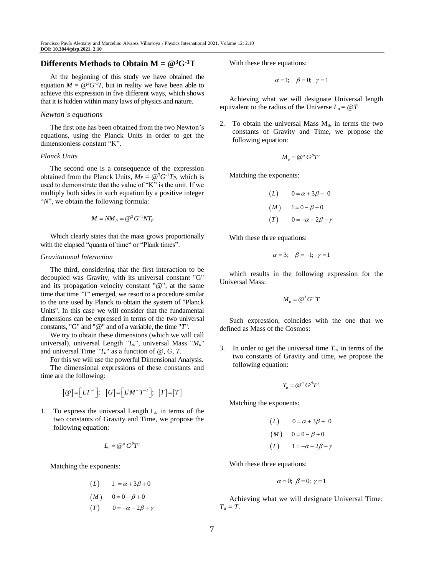# **Differents Methods to Obtain M = @<sup>3</sup>G-1T**

At the beginning of this study we have obtained the equation  $M = \mathcal{Q}^3 G^{-1} T$ , but in reality we have been able to achieve this expression in five different ways, which shows that it is hidden within many laws of physics and nature.

#### *Newton's equations*

The first one has been obtained from the two Newton's equations, using the Planck Units in order to get the dimensionless constant "K".

#### *Planck Units*

The second one is a consequence of the expression obtained from the Planck Units,  $M_P = \mathcal{Q}^3 G^{-1} T_P$ , which is used to demonstrate that the value of "K" is the unit. If we multiply both sides in such equation by a positive integer "*N*", we obtain the following formula:

$$
M = NM_p = \mathcal{Q}^3 G^{-1}NT_p
$$

Which clearly states that the mass grows proportionally with the elapsed "quanta of time" or "Plank times".

#### *Gravitational Interaction*

time are the following:

The third, considering that the first interaction to be decoupled was Gravity, with its universal constant "G" and its propagation velocity constant " $@$ ", at the same time that time "T" emerged, we resort to a procedure similar to the one used by Planck to obtain the system of "Planck Units". In this case we will consider that the fundamental dimensions can be expressed in terms of the two universal constants, "G" and "@" and of a variable, the time "*T*".

We try to obtain these dimensions (which we will call universal), universal Length "*Lu*", universal Mass "*Mu*" and universal Time " $T_u$ " as a function of  $\omega$ , *G*, *T*.

For this we will use the powerful Dimensional Analysis. The dimensional expressions of these constants and

$$
[\mathcal{Q}]=[\mathit{LT}^{-1}]; \quad [G]=[\mathit{L}^3M^{-1}T^{-2}]; \quad [T]=[T]
$$

1. To express the universal Length  $L_{\upsilon}$ , in terms of the two constants of Gravity and Time, we propose the following equation:

$$
L_{\mu} = \mathcal{Q}^{\alpha} G^{\beta} T^{\gamma}
$$

Matching the exponents:

$$
(L) \qquad 1 = \alpha + 3\beta + 0
$$

$$
(M) \qquad 0 = 0 - \beta + 0
$$

$$
(T) \qquad 0 = -\alpha - 2\beta + \gamma
$$

With these three equations:

$$
\alpha = 1; \quad \beta = 0; \quad \gamma = 1
$$

Achieving what we will designate Universal length equivalent to the radius of the Universe  $L_u = \omega T$ 

2. To obtain the universal Mass  $M_u$ , in terms the two constants of Gravity and Time, we propose the following equation:

$$
M_{\mu} = \mathcal{Q}^{\alpha} G^{\beta} T^{\gamma}
$$

Matching the exponents:

$$
(L) \qquad 0 = \alpha + 3\beta + 0
$$

$$
(M) \qquad 1 = 0 - \beta + 0
$$

$$
(T) \qquad 0 = -\alpha - 2\beta + \gamma
$$

With these three equations:

$$
\alpha = 3; \quad \beta = -1; \quad \gamma = 1
$$

which results in the following expression for the Universal Mass:

$$
M_u = \mathcal{Q}^3 G^{-1} T
$$

Such expression, coincides with the one that we defined as Mass of the Cosmos:

3. In order to get the universal time  $T_u$ , in terms of the two constants of Gravity and time, we propose the following equation:

$$
T_u = \mathcal{Q}^\alpha G^\beta T^\gamma
$$

Matching the exponents:

$$
(L) \qquad 0 = \alpha + 3\beta + 0
$$

$$
(M) \qquad 0 = 0 - \beta + 0
$$

$$
(T) \qquad 1 = -\alpha - 2\beta + \gamma
$$

With these three equations:

$$
\alpha = 0; \ \beta = 0; \ \gamma = 1
$$

Achieving what we will designate Universal Time:  $T_u = T$ .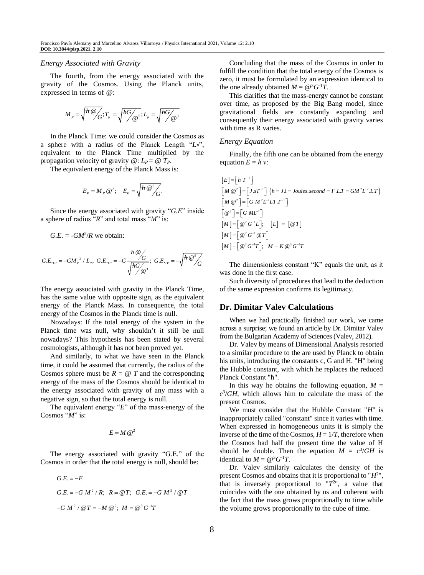#### *Energy Associated with Gravity*

The fourth, from the energy associated with the gravity of the Cosmos. Using the Planck units, expressed in terms of @:

$$
M_{p} = \sqrt{\frac{\hbar \omega}{G}}; T_{p} = \sqrt{\frac{\hbar G}{\omega s}}; L_{p} = \sqrt{\frac{\hbar G}{\omega s}}
$$

In the Planck Time: we could consider the Cosmos as a sphere with a radius of the Planck Length "*LP*", equivalent to the Planck Time multiplied by the propagation velocity of gravity  $@: L_P = @T_P$ .

The equivalent energy of the Planck Mass is:

$$
E_P = M_P \otimes^2; \quad E_P = \sqrt{\frac{\hbar \otimes^5}{G}}.
$$

Since the energy associated with gravity "*G*.*E*" inside a sphere of radius "*R*" and total mass "*M*" is:

 $G.E. = -GM^2/R$  we obtain:

$$
G.E_{\tau_{IP}} = -GM_{P}^{2}/L_{P}; \ G.E_{\tau_{IP}} = -G\frac{\hbar \omega}{\sqrt{\frac{\hbar G}{M_{\odot}}}}; \ G.E_{\tau_{IP}} = -\sqrt{\frac{\hbar \omega^{5}}{G}}
$$

The energy associated with gravity in the Planck Time, has the same value with opposite sign, as the equivalent energy of the Planck Mass. In consequence, the total energy of the Cosmos in the Planck time is null.

Nowadays: If the total energy of the system in the Planck time was null, why shouldn't it still be null nowadays? This hypothesis has been stated by several cosmologists, although it has not been proved yet.

And similarly, to what we have seen in the Planck time, it could be assumed that currently, the radius of the Cosmos sphere must be  $R = \omega T$  and the corresponding energy of the mass of the Cosmos should be identical to the energy associated with gravity of any mass with a negative sign, so that the total energy is null.

The equivalent energy "*E*" of the mass-energy of the Cosmos "*M*" is:

 $E = M \omega^2$ 

The energy associated with gravity "G.E." of the Cosmos in order that the total energy is null, should be:

2 2 2 2 3 1 . . . . / ; @ ; . . / @ / @ @ ; @ *G E E G E G M R R T G E G M T G M T M M G T* 

Concluding that the mass of the Cosmos in order to fulfill the condition that the total energy of the Cosmos is zero, it must be formulated by an expression identical to the one already obtained  $M = \omega^3 G^{-1}T$ .

This clarifies that the mass-energy cannot be constant over time, as proposed by the Big Bang model, since gravitational fields are constantly expanding and consequently their energy associated with gravity varies with time as R varies.

#### *Energy Equation*

Finally, the fifth one can be obtained from the energy equation  $E = h v$ :

$$
[E] = [h T^{-1}]
$$
  
\n
$$
[M \otimes^2] = [J \cdot S T^{-1}] (h = J \cdot i = Joules. second = F \cdot L \cdot T = GM^2 L^{-2} \cdot L \cdot T)
$$
  
\n
$$
[M \otimes^2] = [G M^2 L^{-2} L \cdot T \cdot T^{-1}]
$$
  
\n
$$
[\otimes^2] = [G M L^{-1}]
$$
  
\n
$$
[M] = [\otimes^2 G^{-1} \otimes T]
$$
  
\n
$$
[M] = [\otimes^3 G^{-1} T]; \quad M = K \otimes^3 G^{-1} T
$$

The dimensionless constant "K" equals the unit, as it was done in the first case.

Such diversity of procedures that lead to the deduction of the same expression confirms its legitimacy.

## **Dr. Dimitar Valev Calculations**

When we had practically finished our work, we came across a surprise; we found an article by Dr. Dimitar Valev from the Bulgarian Academy of Sciences (Valev, 2012).

Dr. Valev by means of Dimensional Analysis resorted to a similar procedure to the are used by Planck to obtain his units, introducing the constants c, G and H. "H" being the Hubble constant, with which he replaces the reduced Planck Constant "ħ".

In this way he obtains the following equation,  $M =$  $c^3$ */GH*, which allows him to calculate the mass of the present Cosmos.

We must consider that the Hubble Constant "*H*" is inappropriately called "constant" since it varies with time. When expressed in homogeneous units it is simply the inverse of the time of the Cosmos,  $H = 1/T$ , therefore when the Cosmos had half the present time the value of H should be double. Then the equation  $M = c^3/GH$  is identical to  $M = \omega^3 G^{-1}T$ .

Dr. Valev similarly calculates the density of the present Cosmos and obtains that it is proportional to "*H*<sup>2</sup> ", that is inversely proportional to  $T^{2}$ , a value that coincides with the one obtained by us and coherent with the fact that the mass grows proportionally to time while the volume grows proportionally to the cube of time.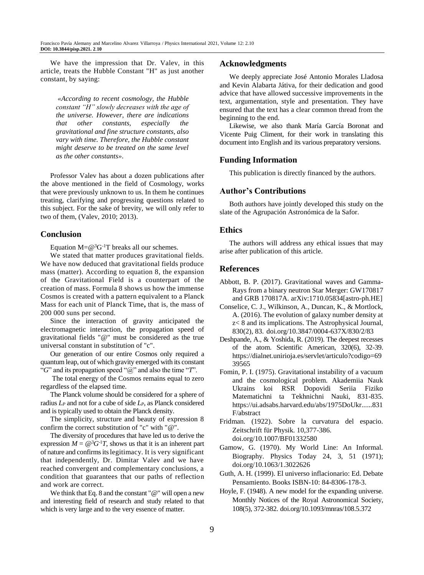We have the impression that Dr. Valev, in this article, treats the Hubble Constant "H" as just another constant, by saying:

*«According to recent cosmology, the Hubble constant "H" slowly decreases with the age of the universe. However, there are indications that other constants, especially the gravitational and fine structure constants, also vary with time. Therefore, the Hubble constant might deserve to be treated on the same level as the other constants».*

Professor Valev has about a dozen publications after the above mentioned in the field of Cosmology, works that were previously unknown to us. In them he continues treating, clarifying and progressing questions related to this subject. For the sake of brevity, we will only refer to two of them, (Valev, 2010; 2013).

# **Conclusion**

Equation  $M = \omega^3 G^{-1}T$  breaks all our schemes.

We stated that matter produces gravitational fields. We have now deduced that gravitational fields produce mass (matter). According to equation 8, the expansion of the Gravitational Field is a counterpart of the creation of mass. Formula 8 shows us how the immense Cosmos is created with a pattern equivalent to a Planck Mass for each unit of Planck Time**,** that is, the mass of 200 000 suns per second.

Since the interaction of gravity anticipated the electromagnetic interaction, the propagation speed of gravitational fields "@" must be considered as the true universal constant in substitution of "c".

Our generation of our entire Cosmos only required a quantum leap, out of which gravity emerged with its constant "*G*" and its propagation speed "@" and also the time "*T*".

The total energy of the Cosmos remains equal to zero regardless of the elapsed time.

The Planck volume should be considered for a sphere of radius *L<sup>P</sup>* and not for a cube of side *LP*, as Planck considered and is typically used to obtain the Planck density.

The simplicity, structure and beauty of expression 8 confirm the correct substitution of "c" with "@".

The diversity of procedures that have led us to derive the expression  $M = \mathcal{Q}^3 G^{-1}T$ , shows us that it is an inherent part of nature and confirms its legitimacy. It is very significant that independently, Dr. Dimitar Valev and we have reached convergent and complementary conclusions, a condition that guarantees that our paths of reflection and work are correct.

We think that Eq. 8 and the constant "@" will open a new and interesting field of research and study related to that which is very large and to the very essence of matter.

#### **Acknowledgments**

We deeply appreciate José Antonio Morales Lladosa and Kevin Alabarta Játiva, for their dedication and good advice that have allowed successive improvements in the text, argumentation, style and presentation. They have ensured that the text has a clear common thread from the beginning to the end.

Likewise, we also thank María García Boronat and Vicente Puig Climent, for their work in translating this document into English and its various preparatory versions.

## **Funding Information**

This publication is directly financed by the authors.

#### **Author's Contributions**

Both authors have jointly developed this study on the slate of the Agrupación Astronómica de la Safor.

#### **Ethics**

The authors will address any ethical issues that may arise after publication of this article.

# **References**

- Abbott, B. P. (2017). Gravitational waves and Gamma-Rays from a binary neutron Star Merger: GW170817 and GRB 170817A. arXiv:1710.05834[astro-ph.HE]
- Conselice, C. J., Wilkinson, A., Duncan, K., & Mortlock, A. (2016). The evolution of galaxy number density at z< 8 and its implications. The Astrophysical Journal, 830(2), 83. doi.org/10.3847/0004-637X/830/2/83
- Deshpande, A., & Yoshida, R. (2019). The deepest recesses of the atom. Scientific American, 320(6), 32-39. https://dialnet.unirioja.es/servlet/articulo?codigo=69 39565
- Fomin, P. I. (1975). Gravitational instability of a vacuum and the cosmological problem. Akademiia Nauk Ukrains koi RSR Dopovidi Seriia Fiziko Matematichni ta Tekhnichni Nauki, 831-835. https://ui.adsabs.harvard.edu/abs/1975DoUkr......831 F/abstract

Fridman. (1922). Sobre la curvatura del espacio. Zeitschrift für Physik. 10,377-386. doi.org/10.1007/BF01332580

Gamow, G. (1970). My World Line: An Informal. Biography. Physics Today 24, 3, 51 (1971); doi.org/10.1063/1.3022626

Guth, A. H. (1999). El universo inflacionario: Ed. Debate Pensamiento. Books ISBN-10: 84-8306-178-3.

Hoyle, F. (1948). A new model for the expanding universe. Monthly Notices of the Royal Astronomical Society, 108(5), 372-382. doi.org/10.1093/mnras/108.5.372